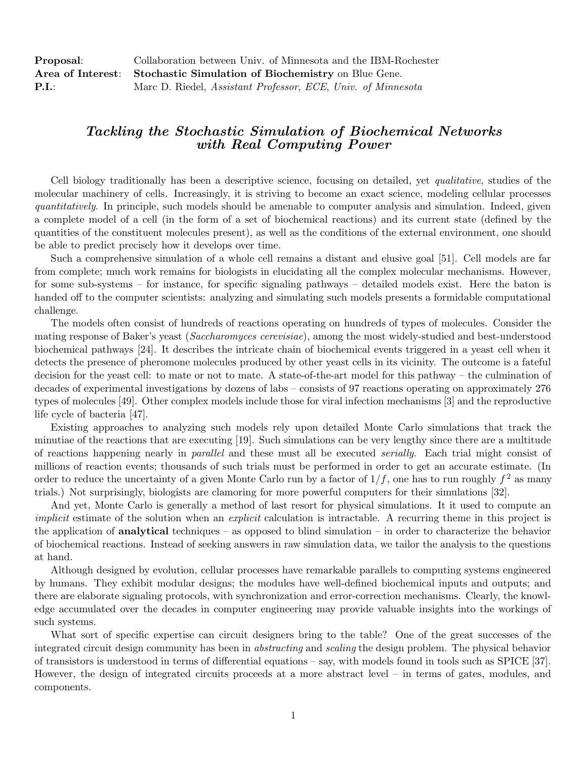| Proposal:                  | Collaboration between Univ. of Minnesota and the IBM-Rochester        |
|----------------------------|-----------------------------------------------------------------------|
|                            | Area of Interest: Stochastic Simulation of Biochemistry on Blue Gene. |
| $\mathbf{P}.\mathbf{I}$ .: | Marc D. Riedel, <i>Assistant Professor, ECE, Univ. of Minnesota</i>   |

## Tackling the Stochastic Simulation of Biochemical Networks with Real Computing Power

Cell biology traditionally has been a descriptive science, focusing on detailed, yet qualitative, studies of the molecular machinery of cells. Increasingly, it is striving to become an exact science, modeling cellular processes quantitatively. In principle, such models should be amenable to computer analysis and simulation. Indeed, given a complete model of a cell (in the form of a set of biochemical reactions) and its current state (defined by the quantities of the constituent molecules present), as well as the conditions of the external environment, one should be able to predict precisely how it develops over time.

Such a comprehensive simulation of a whole cell remains a distant and elusive goal [51]. Cell models are far from complete; much work remains for biologists in elucidating all the complex molecular mechanisms. However, for some sub-systems – for instance, for specific signaling pathways – detailed models exist. Here the baton is handed off to the computer scientists: analyzing and simulating such models presents a formidable computational challenge.

The models often consist of hundreds of reactions operating on hundreds of types of molecules. Consider the mating response of Baker's yeast (Saccharomyces cerevisiae), among the most widely-studied and best-understood biochemical pathways [24]. It describes the intricate chain of biochemical events triggered in a yeast cell when it detects the presence of pheromone molecules produced by other yeast cells in its vicinity. The outcome is a fateful decision for the yeast cell: to mate or not to mate. A state-of-the-art model for this pathway – the culmination of decades of experimental investigations by dozens of labs – consists of 97 reactions operating on approximately 276 types of molecules [49]. Other complex models include those for viral infection mechanisms [3] and the reproductive life cycle of bacteria [47].

Existing approaches to analyzing such models rely upon detailed Monte Carlo simulations that track the minutiae of the reactions that are executing [19]. Such simulations can be very lengthy since there are a multitude of reactions happening nearly in parallel and these must all be executed serially. Each trial might consist of millions of reaction events; thousands of such trials must be performed in order to get an accurate estimate. (In order to reduce the uncertainty of a given Monte Carlo run by a factor of  $1/f$ , one has to run roughly  $f^2$  as many trials.) Not surprisingly, biologists are clamoring for more powerful computers for their simulations [32].

And yet, Monte Carlo is generally a method of last resort for physical simulations. It it used to compute an implicit estimate of the solution when an *explicit* calculation is intractable. A recurring theme in this project is the application of **analytical** techniques – as opposed to blind simulation – in order to characterize the behavior of biochemical reactions. Instead of seeking answers in raw simulation data, we tailor the analysis to the questions at hand.

Although designed by evolution, cellular processes have remarkable parallels to computing systems engineered by humans. They exhibit modular designs; the modules have well-defined biochemical inputs and outputs; and there are elaborate signaling protocols, with synchronization and error-correction mechanisms. Clearly, the knowledge accumulated over the decades in computer engineering may provide valuable insights into the workings of such systems.

What sort of specific expertise can circuit designers bring to the table? One of the great successes of the integrated circuit design community has been in abstracting and scaling the design problem. The physical behavior of transistors is understood in terms of differential equations – say, with models found in tools such as SPICE [37]. However, the design of integrated circuits proceeds at a more abstract level – in terms of gates, modules, and components.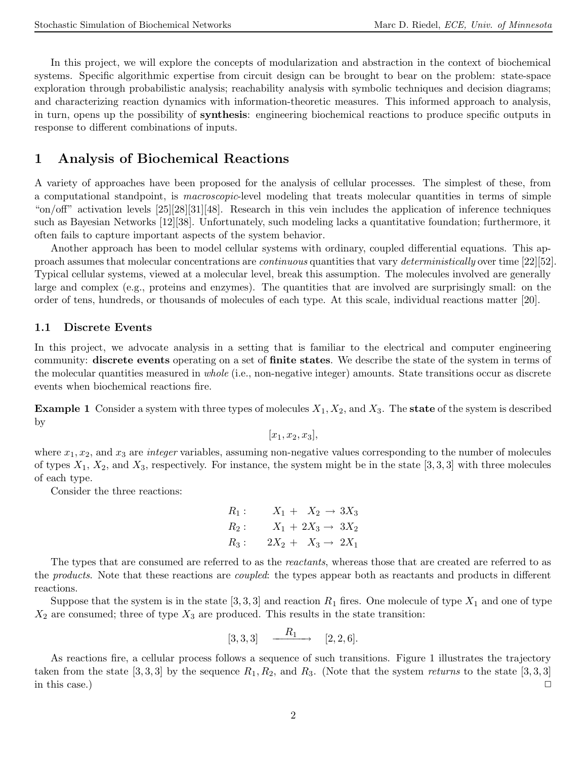In this project, we will explore the concepts of modularization and abstraction in the context of biochemical systems. Specific algorithmic expertise from circuit design can be brought to bear on the problem: state-space exploration through probabilistic analysis; reachability analysis with symbolic techniques and decision diagrams; and characterizing reaction dynamics with information-theoretic measures. This informed approach to analysis, in turn, opens up the possibility of synthesis: engineering biochemical reactions to produce specific outputs in response to different combinations of inputs.

## 1 Analysis of Biochemical Reactions

A variety of approaches have been proposed for the analysis of cellular processes. The simplest of these, from a computational standpoint, is macroscopic-level modeling that treats molecular quantities in terms of simple "on/off" activation levels [25][28][31][48]. Research in this vein includes the application of inference techniques such as Bayesian Networks [12][38]. Unfortunately, such modeling lacks a quantitative foundation; furthermore, it often fails to capture important aspects of the system behavior.

Another approach has been to model cellular systems with ordinary, coupled differential equations. This approach assumes that molecular concentrations are continuous quantities that vary deterministically over time [22][52]. Typical cellular systems, viewed at a molecular level, break this assumption. The molecules involved are generally large and complex (e.g., proteins and enzymes). The quantities that are involved are surprisingly small: on the order of tens, hundreds, or thousands of molecules of each type. At this scale, individual reactions matter [20].

#### 1.1 Discrete Events

In this project, we advocate analysis in a setting that is familiar to the electrical and computer engineering community: discrete events operating on a set of finite states. We describe the state of the system in terms of the molecular quantities measured in whole (i.e., non-negative integer) amounts. State transitions occur as discrete events when biochemical reactions fire.

**Example 1** Consider a system with three types of molecules  $X_1, X_2$ , and  $X_3$ . The **state** of the system is described by

 $[x_1, x_2, x_3],$ 

where  $x_1, x_2$ , and  $x_3$  are *integer* variables, assuming non-negative values corresponding to the number of molecules of types  $X_1, X_2$ , and  $X_3$ , respectively. For instance, the system might be in the state [3, 3, 3] with three molecules of each type.

Consider the three reactions:

$$
R_1: \t X_1 + X_2 \to 3X_3
$$
  
\n
$$
R_2: \t X_1 + 2X_3 \to 3X_2
$$
  
\n
$$
R_3: \t 2X_2 + X_3 \to 2X_1
$$

The types that are consumed are referred to as the reactants, whereas those that are created are referred to as the products. Note that these reactions are coupled: the types appear both as reactants and products in different reactions.

Suppose that the system is in the state [3, 3, 3] and reaction  $R_1$  fires. One molecule of type  $X_1$  and one of type  $X_2$  are consumed; three of type  $X_3$  are produced. This results in the state transition:

$$
[3,3,3] \quad \xrightarrow{\quad R_1} \quad [2,2,6].
$$

As reactions fire, a cellular process follows a sequence of such transitions. Figure 1 illustrates the trajectory taken from the state  $[3,3,3]$  by the sequence  $R_1, R_2$ , and  $R_3$ . (Note that the system *returns* to the state  $[3,3,3]$ in this case.)  $\Box$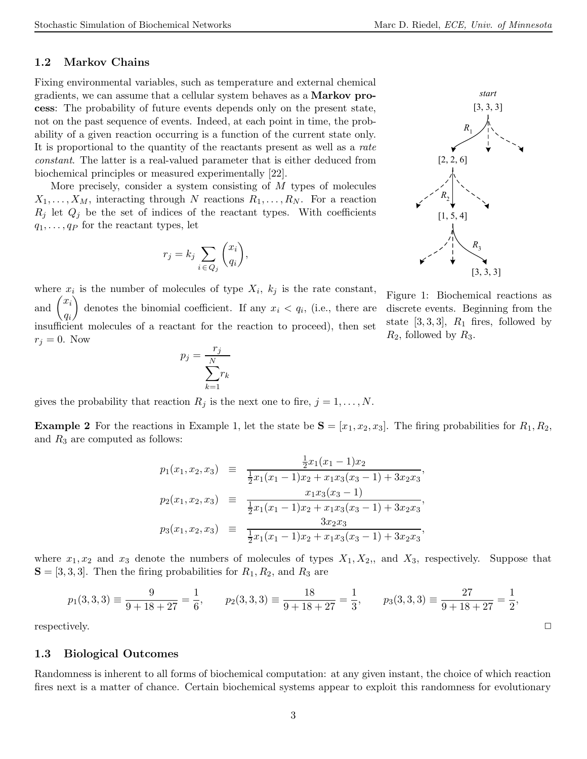### 1.2 Markov Chains

Fixing environmental variables, such as temperature and external chemical gradients, we can assume that a cellular system behaves as a Markov process: The probability of future events depends only on the present state, not on the past sequence of events. Indeed, at each point in time, the probability of a given reaction occurring is a function of the current state only. It is proportional to the quantity of the reactants present as well as a rate constant. The latter is a real-valued parameter that is either deduced from biochemical principles or measured experimentally [22].

More precisely, consider a system consisting of M types of molecules  $X_1, \ldots, X_M$ , interacting through N reactions  $R_1, \ldots, R_N$ . For a reaction  $R_j$  let  $Q_j$  be the set of indices of the reactant types. With coefficients  $q_1, \ldots, q_P$  for the reactant types, let

$$
r_j = k_j \sum_{i \in Q_j} \binom{x_i}{q_i},
$$



where  $x_i$  is the number of molecules of type  $X_i$ ,  $k_j$  is the rate constant, and  $\dot{x_i}$ qi denotes the binomial coefficient. If any  $x_i < q_i$ , (i.e., there are insufficient molecules of a reactant for the reaction to proceed), then set  $r_j = 0$ . Now

$$
p_j = \frac{r_j}{\sum_{k=1}^{N} r_k}
$$

Figure 1: Biochemical reactions as discrete events. Beginning from the state [3, 3, 3],  $R_1$  fires, followed by  $R_2$ , followed by  $R_3$ .

gives the probability that reaction  $R_j$  is the next one to fire,  $j = 1, \ldots, N$ .

**Example 2** For the reactions in Example 1, let the state be  $S = [x_1, x_2, x_3]$ . The firing probabilities for  $R_1, R_2$ , and  $R_3$  are computed as follows:

$$
p_1(x_1, x_2, x_3) \equiv \frac{\frac{1}{2}x_1(x_1 - 1)x_2}{\frac{1}{2}x_1(x_1 - 1)x_2 + x_1x_3(x_3 - 1) + 3x_2x_3},
$$
  
\n
$$
p_2(x_1, x_2, x_3) \equiv \frac{x_1x_3(x_3 - 1)}{\frac{1}{2}x_1(x_1 - 1)x_2 + x_1x_3(x_3 - 1) + 3x_2x_3},
$$
  
\n
$$
p_3(x_1, x_2, x_3) \equiv \frac{3x_2x_3}{\frac{1}{2}x_1(x_1 - 1)x_2 + x_1x_3(x_3 - 1) + 3x_2x_3},
$$

where  $x_1, x_2$  and  $x_3$  denote the numbers of molecules of types  $X_1, X_2,$ , and  $X_3$ , respectively. Suppose that  $S = [3, 3, 3]$ . Then the firing probabilities for  $R_1, R_2$ , and  $R_3$  are

$$
p_1(3,3,3) \equiv \frac{9}{9+18+27} = \frac{1}{6}, \qquad p_2(3,3,3) \equiv \frac{18}{9+18+27} = \frac{1}{3}, \qquad p_3(3,3,3) \equiv \frac{27}{9+18+27} = \frac{1}{2},
$$
  
respectively.

#### 1.3 Biological Outcomes

Randomness is inherent to all forms of biochemical computation: at any given instant, the choice of which reaction fires next is a matter of chance. Certain biochemical systems appear to exploit this randomness for evolutionary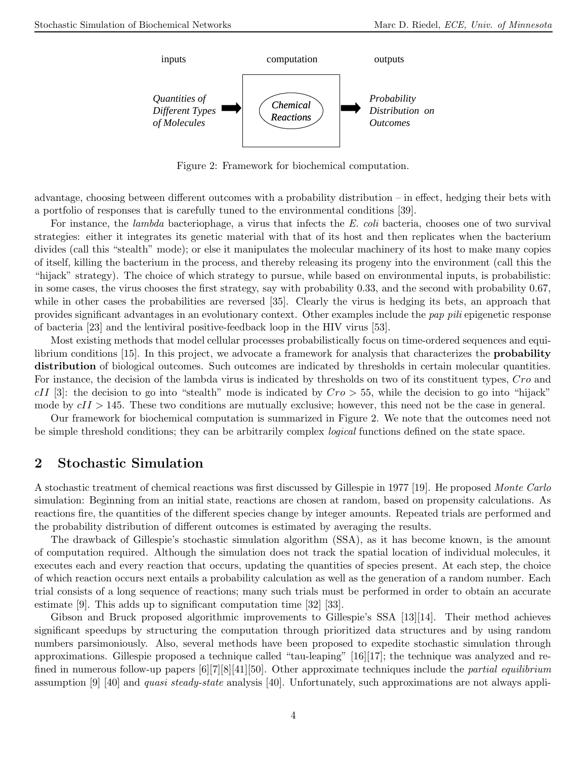

Figure 2: Framework for biochemical computation.

advantage, choosing between different outcomes with a probability distribution – in effect, hedging their bets with a portfolio of responses that is carefully tuned to the environmental conditions [39].

For instance, the lambda bacteriophage, a virus that infects the E. coli bacteria, chooses one of two survival strategies: either it integrates its genetic material with that of its host and then replicates when the bacterium divides (call this "stealth" mode); or else it manipulates the molecular machinery of its host to make many copies of itself, killing the bacterium in the process, and thereby releasing its progeny into the environment (call this the "hijack" strategy). The choice of which strategy to pursue, while based on environmental inputs, is probabilistic: in some cases, the virus chooses the first strategy, say with probability 0.33, and the second with probability 0.67, while in other cases the probabilities are reversed [35]. Clearly the virus is hedging its bets, an approach that provides significant advantages in an evolutionary context. Other examples include the pap pili epigenetic response of bacteria [23] and the lentiviral positive-feedback loop in the HIV virus [53].

Most existing methods that model cellular processes probabilistically focus on time-ordered sequences and equilibrium conditions [15]. In this project, we advocate a framework for analysis that characterizes the probability distribution of biological outcomes. Such outcomes are indicated by thresholds in certain molecular quantities. For instance, the decision of the lambda virus is indicated by thresholds on two of its constituent types, Cro and  $cII$  [3]: the decision to go into "stealth" mode is indicated by  $Cro > 55$ , while the decision to go into "hijack" mode by  $cII > 145$ . These two conditions are mutually exclusive; however, this need not be the case in general.

Our framework for biochemical computation is summarized in Figure 2. We note that the outcomes need not be simple threshold conditions; they can be arbitrarily complex logical functions defined on the state space.

## 2 Stochastic Simulation

A stochastic treatment of chemical reactions was first discussed by Gillespie in 1977 [19]. He proposed Monte Carlo simulation: Beginning from an initial state, reactions are chosen at random, based on propensity calculations. As reactions fire, the quantities of the different species change by integer amounts. Repeated trials are performed and the probability distribution of different outcomes is estimated by averaging the results.

The drawback of Gillespie's stochastic simulation algorithm (SSA), as it has become known, is the amount of computation required. Although the simulation does not track the spatial location of individual molecules, it executes each and every reaction that occurs, updating the quantities of species present. At each step, the choice of which reaction occurs next entails a probability calculation as well as the generation of a random number. Each trial consists of a long sequence of reactions; many such trials must be performed in order to obtain an accurate estimate [9]. This adds up to significant computation time [32] [33].

Gibson and Bruck proposed algorithmic improvements to Gillespie's SSA [13][14]. Their method achieves significant speedups by structuring the computation through prioritized data structures and by using random numbers parsimoniously. Also, several methods have been proposed to expedite stochastic simulation through approximations. Gillespie proposed a technique called "tau-leaping" [16][17]; the technique was analyzed and refined in numerous follow-up papers  $[6][7][8][41][50]$ . Other approximate techniques include the *partial equilibrium* assumption [9] [40] and *quasi steady-state* analysis [40]. Unfortunately, such approximations are not always appli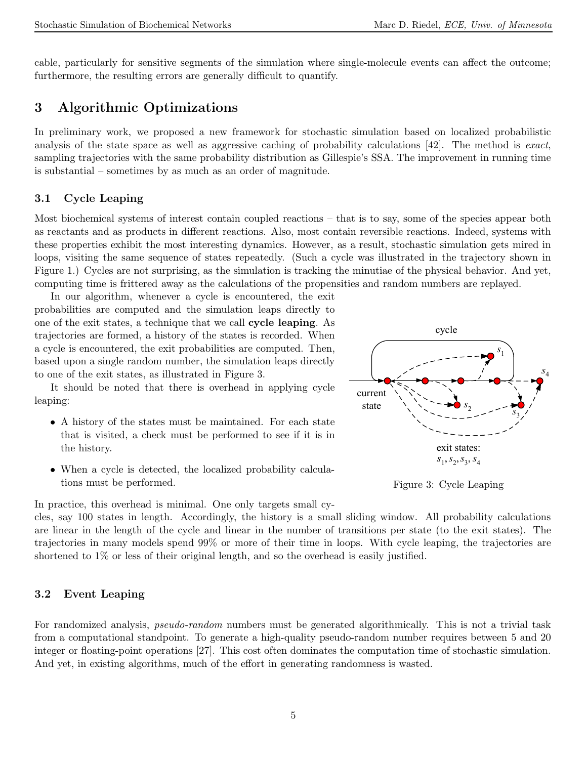cable, particularly for sensitive segments of the simulation where single-molecule events can affect the outcome; furthermore, the resulting errors are generally difficult to quantify.

# 3 Algorithmic Optimizations

In preliminary work, we proposed a new framework for stochastic simulation based on localized probabilistic analysis of the state space as well as aggressive caching of probability calculations [42]. The method is exact, sampling trajectories with the same probability distribution as Gillespie's SSA. The improvement in running time is substantial – sometimes by as much as an order of magnitude.

### 3.1 Cycle Leaping

Most biochemical systems of interest contain coupled reactions – that is to say, some of the species appear both as reactants and as products in different reactions. Also, most contain reversible reactions. Indeed, systems with these properties exhibit the most interesting dynamics. However, as a result, stochastic simulation gets mired in loops, visiting the same sequence of states repeatedly. (Such a cycle was illustrated in the trajectory shown in Figure 1.) Cycles are not surprising, as the simulation is tracking the minutiae of the physical behavior. And yet, computing time is frittered away as the calculations of the propensities and random numbers are replayed.

In our algorithm, whenever a cycle is encountered, the exit probabilities are computed and the simulation leaps directly to one of the exit states, a technique that we call cycle leaping. As trajectories are formed, a history of the states is recorded. When a cycle is encountered, the exit probabilities are computed. Then, based upon a single random number, the simulation leaps directly to one of the exit states, as illustrated in Figure 3.

It should be noted that there is overhead in applying cycle leaping:

- A history of the states must be maintained. For each state that is visited, a check must be performed to see if it is in the history.
- When a cycle is detected, the localized probability calculations must be performed.

In practice, this overhead is minimal. One only targets small cy-

cles, say 100 states in length. Accordingly, the history is a small sliding window. All probability calculations are linear in the length of the cycle and linear in the number of transitions per state (to the exit states). The trajectories in many models spend 99% or more of their time in loops. With cycle leaping, the trajectories are shortened to 1% or less of their original length, and so the overhead is easily justified.

### 3.2 Event Leaping

For randomized analysis, pseudo-random numbers must be generated algorithmically. This is not a trivial task from a computational standpoint. To generate a high-quality pseudo-random number requires between 5 and 20 integer or floating-point operations [27]. This cost often dominates the computation time of stochastic simulation. And yet, in existing algorithms, much of the effort in generating randomness is wasted.



Figure 3: Cycle Leaping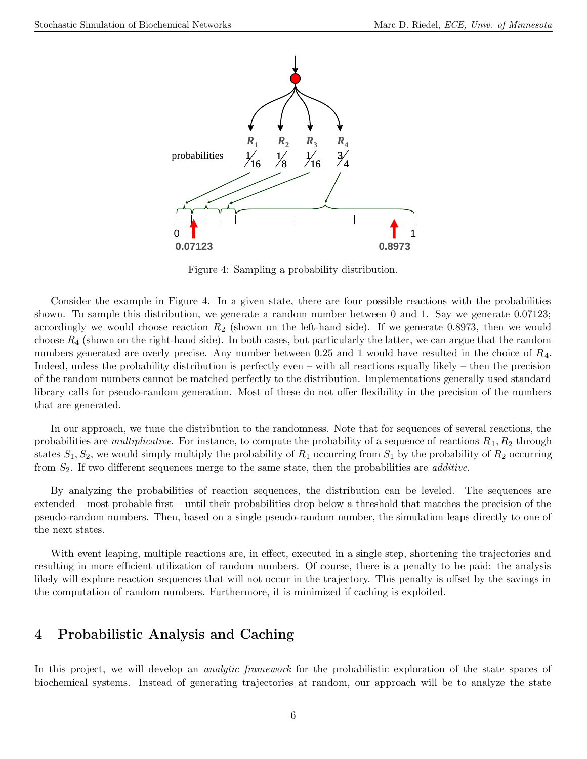

Figure 4: Sampling a probability distribution.

Consider the example in Figure 4. In a given state, there are four possible reactions with the probabilities shown. To sample this distribution, we generate a random number between 0 and 1. Say we generate 0.07123; accordingly we would choose reaction  $R_2$  (shown on the left-hand side). If we generate 0.8973, then we would choose  $R_4$  (shown on the right-hand side). In both cases, but particularly the latter, we can argue that the random numbers generated are overly precise. Any number between 0.25 and 1 would have resulted in the choice of R4. Indeed, unless the probability distribution is perfectly even – with all reactions equally likely – then the precision of the random numbers cannot be matched perfectly to the distribution. Implementations generally used standard library calls for pseudo-random generation. Most of these do not offer flexibility in the precision of the numbers that are generated.

In our approach, we tune the distribution to the randomness. Note that for sequences of several reactions, the probabilities are *multiplicative*. For instance, to compute the probability of a sequence of reactions  $R_1, R_2$  through states  $S_1, S_2$ , we would simply multiply the probability of  $R_1$  occurring from  $S_1$  by the probability of  $R_2$  occurring from  $S_2$ . If two different sequences merge to the same state, then the probabilities are *additive*.

By analyzing the probabilities of reaction sequences, the distribution can be leveled. The sequences are extended – most probable first – until their probabilities drop below a threshold that matches the precision of the pseudo-random numbers. Then, based on a single pseudo-random number, the simulation leaps directly to one of the next states.

With event leaping, multiple reactions are, in effect, executed in a single step, shortening the trajectories and resulting in more efficient utilization of random numbers. Of course, there is a penalty to be paid: the analysis likely will explore reaction sequences that will not occur in the trajectory. This penalty is offset by the savings in the computation of random numbers. Furthermore, it is minimized if caching is exploited.

## 4 Probabilistic Analysis and Caching

In this project, we will develop an *analytic framework* for the probabilistic exploration of the state spaces of biochemical systems. Instead of generating trajectories at random, our approach will be to analyze the state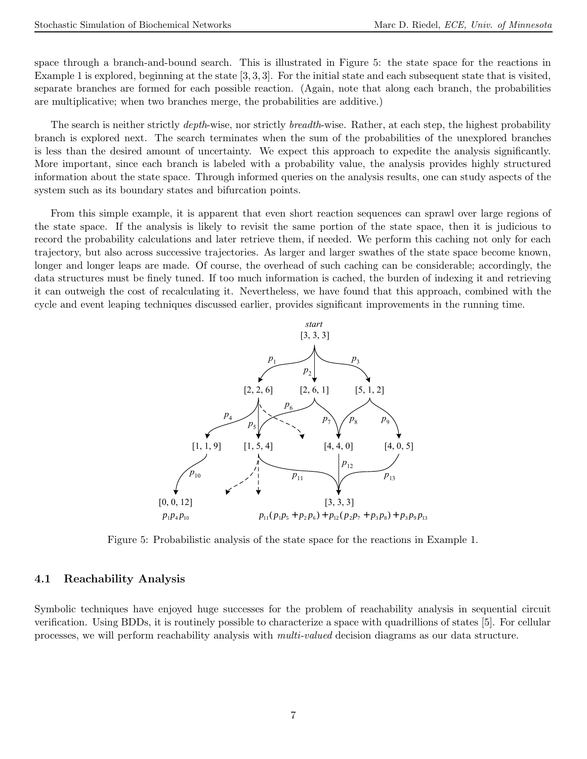space through a branch-and-bound search. This is illustrated in Figure 5: the state space for the reactions in Example 1 is explored, beginning at the state [3, 3, 3]. For the initial state and each subsequent state that is visited, separate branches are formed for each possible reaction. (Again, note that along each branch, the probabilities are multiplicative; when two branches merge, the probabilities are additive.)

The search is neither strictly *depth*-wise, nor strictly *breadth*-wise. Rather, at each step, the highest probability branch is explored next. The search terminates when the sum of the probabilities of the unexplored branches is less than the desired amount of uncertainty. We expect this approach to expedite the analysis significantly. More important, since each branch is labeled with a probability value, the analysis provides highly structured information about the state space. Through informed queries on the analysis results, one can study aspects of the system such as its boundary states and bifurcation points.

From this simple example, it is apparent that even short reaction sequences can sprawl over large regions of the state space. If the analysis is likely to revisit the same portion of the state space, then it is judicious to record the probability calculations and later retrieve them, if needed. We perform this caching not only for each trajectory, but also across successive trajectories. As larger and larger swathes of the state space become known, longer and longer leaps are made. Of course, the overhead of such caching can be considerable; accordingly, the data structures must be finely tuned. If too much information is cached, the burden of indexing it and retrieving it can outweigh the cost of recalculating it. Nevertheless, we have found that this approach, combined with the cycle and event leaping techniques discussed earlier, provides significant improvements in the running time.



Figure 5: Probabilistic analysis of the state space for the reactions in Example 1.

### 4.1 Reachability Analysis

Symbolic techniques have enjoyed huge successes for the problem of reachability analysis in sequential circuit verification. Using BDDs, it is routinely possible to characterize a space with quadrillions of states [5]. For cellular processes, we will perform reachability analysis with multi-valued decision diagrams as our data structure.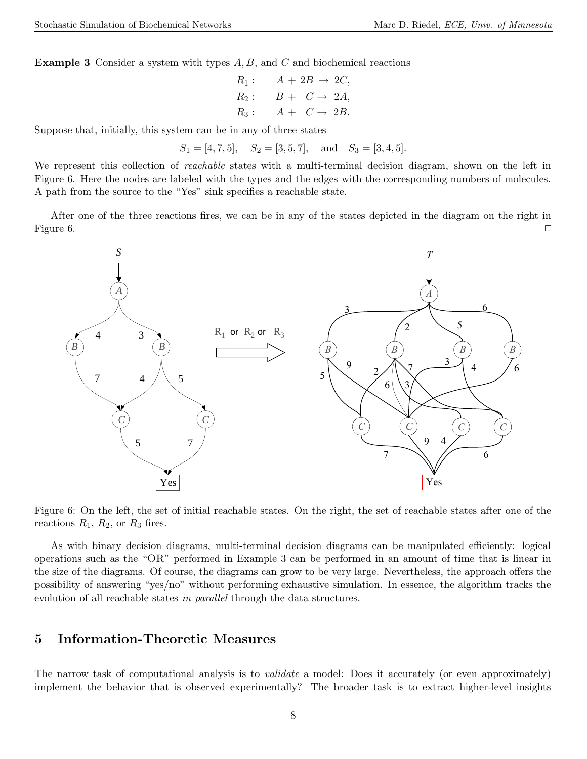**Example 3** Consider a system with types  $A, B$ , and  $C$  and biochemical reactions

$$
R_1: \quad A + 2B \rightarrow 2C,
$$
  
\n
$$
R_2: \quad B + C \rightarrow 2A,
$$
  
\n
$$
R_3: \quad A + C \rightarrow 2B.
$$

Suppose that, initially, this system can be in any of three states

$$
S_1 = [4, 7, 5], S_2 = [3, 5, 7],
$$
 and  $S_3 = [3, 4, 5].$ 

We represent this collection of *reachable* states with a multi-terminal decision diagram, shown on the left in Figure 6. Here the nodes are labeled with the types and the edges with the corresponding numbers of molecules. A path from the source to the "Yes" sink specifies a reachable state.

After one of the three reactions fires, we can be in any of the states depicted in the diagram on the right in Figure 6.  $\Box$ 



Figure 6: On the left, the set of initial reachable states. On the right, the set of reachable states after one of the reactions  $R_1$ ,  $R_2$ , or  $R_3$  fires.

As with binary decision diagrams, multi-terminal decision diagrams can be manipulated efficiently: logical operations such as the "OR" performed in Example 3 can be performed in an amount of time that is linear in the size of the diagrams. Of course, the diagrams can grow to be very large. Nevertheless, the approach offers the possibility of answering "yes/no" without performing exhaustive simulation. In essence, the algorithm tracks the evolution of all reachable states in *parallel* through the data structures.

## 5 Information-Theoretic Measures

The narrow task of computational analysis is to *validate* a model: Does it accurately (or even approximately) implement the behavior that is observed experimentally? The broader task is to extract higher-level insights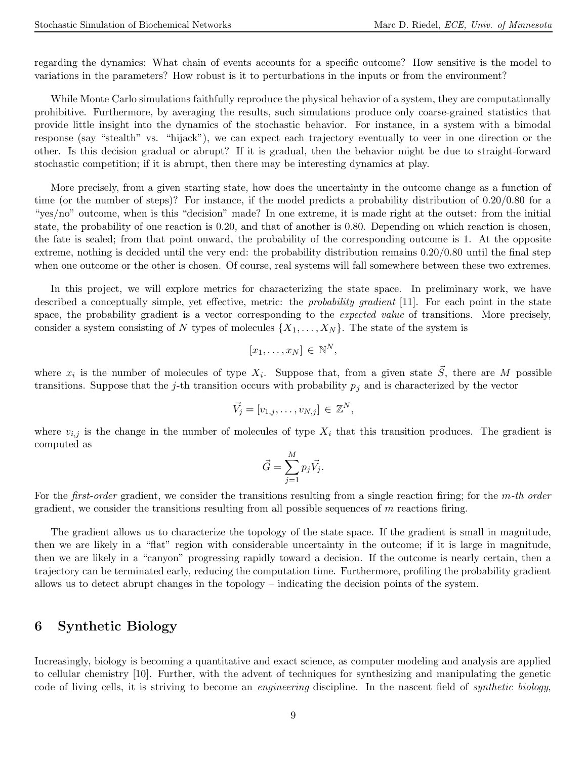regarding the dynamics: What chain of events accounts for a specific outcome? How sensitive is the model to variations in the parameters? How robust is it to perturbations in the inputs or from the environment?

While Monte Carlo simulations faithfully reproduce the physical behavior of a system, they are computationally prohibitive. Furthermore, by averaging the results, such simulations produce only coarse-grained statistics that provide little insight into the dynamics of the stochastic behavior. For instance, in a system with a bimodal response (say "stealth" vs. "hijack"), we can expect each trajectory eventually to veer in one direction or the other. Is this decision gradual or abrupt? If it is gradual, then the behavior might be due to straight-forward stochastic competition; if it is abrupt, then there may be interesting dynamics at play.

More precisely, from a given starting state, how does the uncertainty in the outcome change as a function of time (or the number of steps)? For instance, if the model predicts a probability distribution of 0.20/0.80 for a "yes/no" outcome, when is this "decision" made? In one extreme, it is made right at the outset: from the initial state, the probability of one reaction is 0.20, and that of another is 0.80. Depending on which reaction is chosen, the fate is sealed; from that point onward, the probability of the corresponding outcome is 1. At the opposite extreme, nothing is decided until the very end: the probability distribution remains 0.20/0.80 until the final step when one outcome or the other is chosen. Of course, real systems will fall somewhere between these two extremes.

In this project, we will explore metrics for characterizing the state space. In preliminary work, we have described a conceptually simple, yet effective, metric: the *probability gradient* [11]. For each point in the state space, the probability gradient is a vector corresponding to the *expected value* of transitions. More precisely, consider a system consisting of N types of molecules  $\{X_1, \ldots, X_N\}$ . The state of the system is

$$
[x_1,\ldots,x_N]\in\mathbb{N}^N,
$$

where  $x_i$  is the number of molecules of type  $X_i$ . Suppose that, from a given state  $\vec{S}$ , there are M possible transitions. Suppose that the j-th transition occurs with probability  $p_i$  and is characterized by the vector

$$
\vec{V}_j = [v_{1,j}, \dots, v_{N,j}] \in \mathbb{Z}^N,
$$

where  $v_{i,j}$  is the change in the number of molecules of type  $X_i$  that this transition produces. The gradient is computed as

$$
\vec{G} = \sum_{j=1}^{M} p_j \vec{V_j}.
$$

For the *first-order* gradient, we consider the transitions resulting from a single reaction firing; for the  $m$ -th order gradient, we consider the transitions resulting from all possible sequences of  $m$  reactions firing.

The gradient allows us to characterize the topology of the state space. If the gradient is small in magnitude, then we are likely in a "flat" region with considerable uncertainty in the outcome; if it is large in magnitude, then we are likely in a "canyon" progressing rapidly toward a decision. If the outcome is nearly certain, then a trajectory can be terminated early, reducing the computation time. Furthermore, profiling the probability gradient allows us to detect abrupt changes in the topology – indicating the decision points of the system.

## 6 Synthetic Biology

Increasingly, biology is becoming a quantitative and exact science, as computer modeling and analysis are applied to cellular chemistry [10]. Further, with the advent of techniques for synthesizing and manipulating the genetic code of living cells, it is striving to become an engineering discipline. In the nascent field of synthetic biology,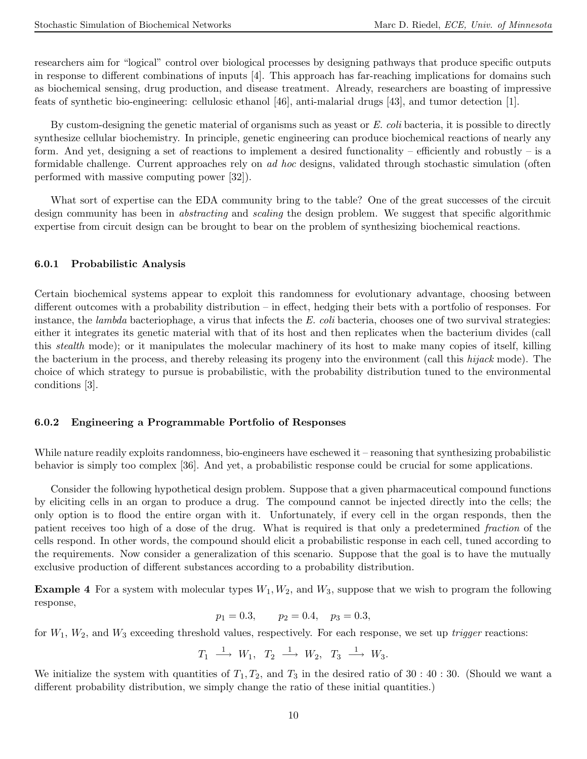researchers aim for "logical" control over biological processes by designing pathways that produce specific outputs in response to different combinations of inputs [4]. This approach has far-reaching implications for domains such as biochemical sensing, drug production, and disease treatment. Already, researchers are boasting of impressive feats of synthetic bio-engineering: cellulosic ethanol [46], anti-malarial drugs [43], and tumor detection [1].

By custom-designing the genetic material of organisms such as yeast or  $E$ . coli bacteria, it is possible to directly synthesize cellular biochemistry. In principle, genetic engineering can produce biochemical reactions of nearly any form. And yet, designing a set of reactions to implement a desired functionality – efficiently and robustly – is a formidable challenge. Current approaches rely on ad hoc designs, validated through stochastic simulation (often performed with massive computing power [32]).

What sort of expertise can the EDA community bring to the table? One of the great successes of the circuit design community has been in *abstracting* and *scaling* the design problem. We suggest that specific algorithmic expertise from circuit design can be brought to bear on the problem of synthesizing biochemical reactions.

### 6.0.1 Probabilistic Analysis

Certain biochemical systems appear to exploit this randomness for evolutionary advantage, choosing between different outcomes with a probability distribution – in effect, hedging their bets with a portfolio of responses. For instance, the *lambda* bacteriophage, a virus that infects the  $E$ . coli bacteria, chooses one of two survival strategies: either it integrates its genetic material with that of its host and then replicates when the bacterium divides (call this stealth mode); or it manipulates the molecular machinery of its host to make many copies of itself, killing the bacterium in the process, and thereby releasing its progeny into the environment (call this hijack mode). The choice of which strategy to pursue is probabilistic, with the probability distribution tuned to the environmental conditions [3].

### 6.0.2 Engineering a Programmable Portfolio of Responses

While nature readily exploits randomness, bio-engineers have eschewed it – reasoning that synthesizing probabilistic behavior is simply too complex [36]. And yet, a probabilistic response could be crucial for some applications.

Consider the following hypothetical design problem. Suppose that a given pharmaceutical compound functions by eliciting cells in an organ to produce a drug. The compound cannot be injected directly into the cells; the only option is to flood the entire organ with it. Unfortunately, if every cell in the organ responds, then the patient receives too high of a dose of the drug. What is required is that only a predetermined fraction of the cells respond. In other words, the compound should elicit a probabilistic response in each cell, tuned according to the requirements. Now consider a generalization of this scenario. Suppose that the goal is to have the mutually exclusive production of different substances according to a probability distribution.

**Example 4** For a system with molecular types  $W_1, W_2$ , and  $W_3$ , suppose that we wish to program the following response,

$$
p_1 = 0.3,
$$
  $p_2 = 0.4,$   $p_3 = 0.3,$ 

for  $W_1, W_2$ , and  $W_3$  exceeding threshold values, respectively. For each response, we set up *trigger* reactions:

$$
T_1 \stackrel{1}{\longrightarrow} W_1, T_2 \stackrel{1}{\longrightarrow} W_2, T_3 \stackrel{1}{\longrightarrow} W_3.
$$

We initialize the system with quantities of  $T_1, T_2$ , and  $T_3$  in the desired ratio of 30 : 40 : 30. (Should we want a different probability distribution, we simply change the ratio of these initial quantities.)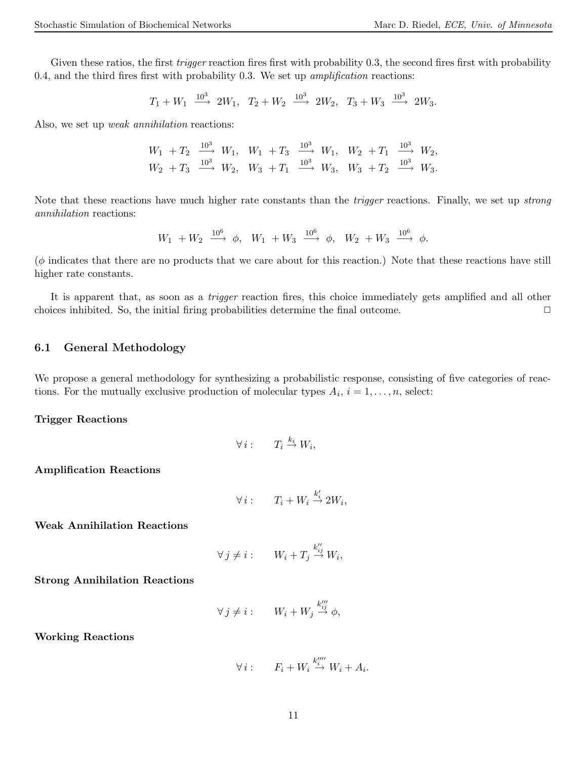Given these ratios, the first *trigger* reaction fires first with probability 0.3, the second fires first with probability 0.4, and the third fires first with probability 0.3. We set up *amplification* reactions:

$$
T_1+W_1~\overset{10^3}{\longrightarrow}~2W_1,~~T_2+W_2~\overset{10^3}{\longrightarrow}~2W_2,~~T_3+W_3~\overset{10^3}{\longrightarrow}~2W_3.
$$

Also, we set up *weak annihilation* reactions:

$$
W_1 + T_2 \xrightarrow{10^3} W_1, \quad W_1 + T_3 \xrightarrow{10^3} W_1, \quad W_2 + T_1 \xrightarrow{10^3} W_2,
$$
  

$$
W_2 + T_3 \xrightarrow{10^3} W_2, \quad W_3 + T_1 \xrightarrow{10^3} W_3, \quad W_3 + T_2 \xrightarrow{10^3} W_3.
$$

Note that these reactions have much higher rate constants than the trigger reactions. Finally, we set up strong annihilation reactions:

$$
W_1~+ W_2~\overset{10^6}{\longrightarrow}~\phi,~~W_1~+ W_3~\overset{10^6}{\longrightarrow}~\phi,~~W_2~+ W_3~\overset{10^6}{\longrightarrow}~\phi.
$$

 $(\phi)$  indicates that there are no products that we care about for this reaction.) Note that these reactions have still higher rate constants.

It is apparent that, as soon as a trigger reaction fires, this choice immediately gets amplified and all other choices inhibited. So, the initial firing probabilities determine the final outcome.  $\Box$ 

### 6.1 General Methodology

We propose a general methodology for synthesizing a probabilistic response, consisting of five categories of reactions. For the mutually exclusive production of molecular types  $A_i$ ,  $i = 1, \ldots, n$ , select:

#### Trigger Reactions

$$
\forall i: \qquad T_i \stackrel{k_i}{\to} W_i,
$$

Amplification Reactions

$$
\forall i: T_i + W_i \stackrel{k'_i}{\to} 2W_i,
$$

Weak Annihilation Reactions

$$
\forall j \neq i: \qquad W_i + T_j \stackrel{k''_{ij}}{\to} W_i,
$$

Strong Annihilation Reactions

$$
\forall j \neq i: \qquad W_i + W_j \stackrel{k'''_{ij}}{\rightarrow} \phi,
$$

Working Reactions

$$
\forall i: \qquad F_i + W_i \stackrel{k_i''''}{\to} W_i + A_i.
$$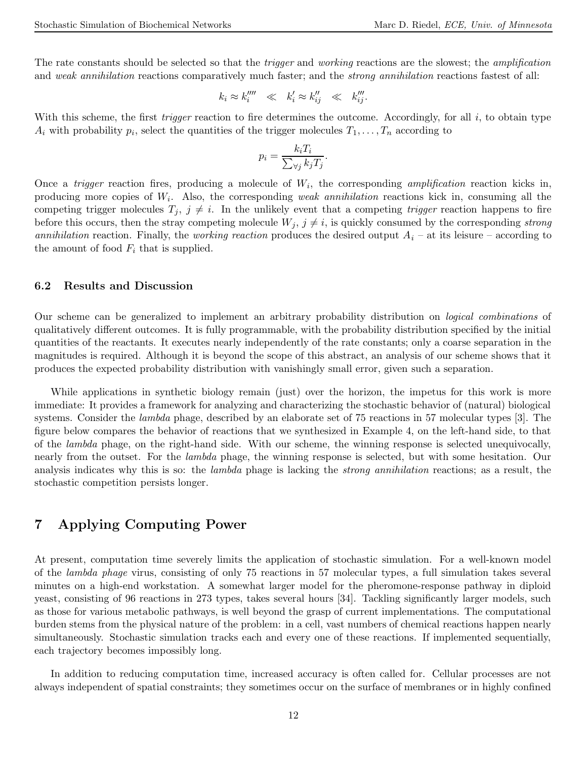The rate constants should be selected so that the *trigger* and *working* reactions are the slowest; the *amplification* and weak annihilation reactions comparatively much faster; and the *strong annihilation* reactions fastest of all:

$$
k_i \approx k_i^{\prime \prime \prime \prime} \ll k_i^{\prime} \approx k_{ij}^{\prime \prime} \ll k_{ij}^{\prime \prime \prime}.
$$

With this scheme, the first *trigger* reaction to fire determines the outcome. Accordingly, for all  $i$ , to obtain type  $A_i$  with probability  $p_i$ , select the quantities of the trigger molecules  $T_1, \ldots, T_n$  according to

$$
p_i = \frac{k_i T_i}{\sum_{\forall j} k_j T_j}.
$$

Once a *trigger* reaction fires, producing a molecule of  $W_i$ , the corresponding *amplification* reaction kicks in, producing more copies of  $W_i$ . Also, the corresponding weak annihilation reactions kick in, consuming all the competing trigger molecules  $T_j$ ,  $j \neq i$ . In the unlikely event that a competing *trigger* reaction happens to fire before this occurs, then the stray competing molecule  $W_j$ ,  $j \neq i$ , is quickly consumed by the corresponding strong annihilation reaction. Finally, the working reaction produces the desired output  $A_i$  – at its leisure – according to the amount of food  $F_i$  that is supplied.

### 6.2 Results and Discussion

Our scheme can be generalized to implement an arbitrary probability distribution on logical combinations of qualitatively different outcomes. It is fully programmable, with the probability distribution specified by the initial quantities of the reactants. It executes nearly independently of the rate constants; only a coarse separation in the magnitudes is required. Although it is beyond the scope of this abstract, an analysis of our scheme shows that it produces the expected probability distribution with vanishingly small error, given such a separation.

While applications in synthetic biology remain (just) over the horizon, the impetus for this work is more immediate: It provides a framework for analyzing and characterizing the stochastic behavior of (natural) biological systems. Consider the *lambda* phage, described by an elaborate set of 75 reactions in 57 molecular types [3]. The figure below compares the behavior of reactions that we synthesized in Example 4, on the left-hand side, to that of the lambda phage, on the right-hand side. With our scheme, the winning response is selected unequivocally, nearly from the outset. For the lambda phage, the winning response is selected, but with some hesitation. Our analysis indicates why this is so: the *lambda* phage is lacking the *strong annihilation* reactions; as a result, the stochastic competition persists longer.

## 7 Applying Computing Power

At present, computation time severely limits the application of stochastic simulation. For a well-known model of the lambda phage virus, consisting of only 75 reactions in 57 molecular types, a full simulation takes several minutes on a high-end workstation. A somewhat larger model for the pheromone-response pathway in diploid yeast, consisting of 96 reactions in 273 types, takes several hours [34]. Tackling significantly larger models, such as those for various metabolic pathways, is well beyond the grasp of current implementations. The computational burden stems from the physical nature of the problem: in a cell, vast numbers of chemical reactions happen nearly simultaneously. Stochastic simulation tracks each and every one of these reactions. If implemented sequentially, each trajectory becomes impossibly long.

In addition to reducing computation time, increased accuracy is often called for. Cellular processes are not always independent of spatial constraints; they sometimes occur on the surface of membranes or in highly confined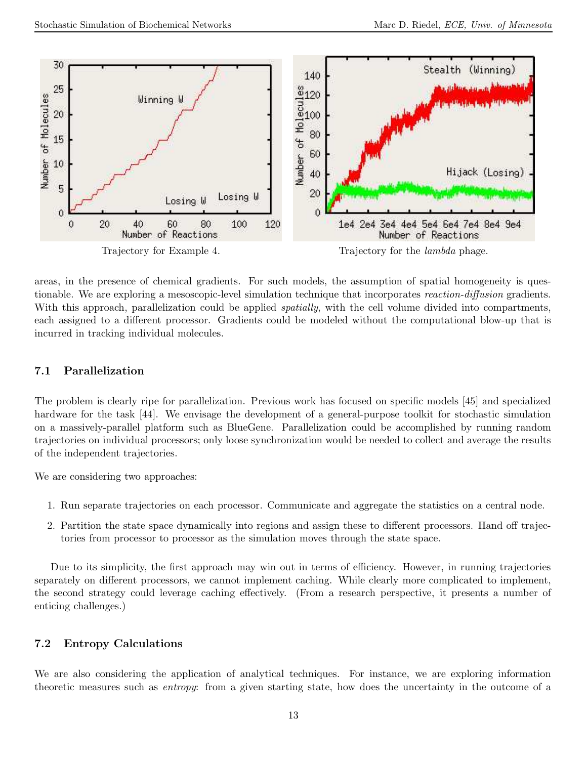

areas, in the presence of chemical gradients. For such models, the assumption of spatial homogeneity is questionable. We are exploring a mesoscopic-level simulation technique that incorporates reaction-diffusion gradients. With this approach, parallelization could be applied *spatially*, with the cell volume divided into compartments, each assigned to a different processor. Gradients could be modeled without the computational blow-up that is incurred in tracking individual molecules.

## 7.1 Parallelization

The problem is clearly ripe for parallelization. Previous work has focused on specific models [45] and specialized hardware for the task [44]. We envisage the development of a general-purpose toolkit for stochastic simulation on a massively-parallel platform such as BlueGene. Parallelization could be accomplished by running random trajectories on individual processors; only loose synchronization would be needed to collect and average the results of the independent trajectories.

We are considering two approaches:

- 1. Run separate trajectories on each processor. Communicate and aggregate the statistics on a central node.
- 2. Partition the state space dynamically into regions and assign these to different processors. Hand off trajectories from processor to processor as the simulation moves through the state space.

Due to its simplicity, the first approach may win out in terms of efficiency. However, in running trajectories separately on different processors, we cannot implement caching. While clearly more complicated to implement, the second strategy could leverage caching effectively. (From a research perspective, it presents a number of enticing challenges.)

## 7.2 Entropy Calculations

We are also considering the application of analytical techniques. For instance, we are exploring information theoretic measures such as entropy: from a given starting state, how does the uncertainty in the outcome of a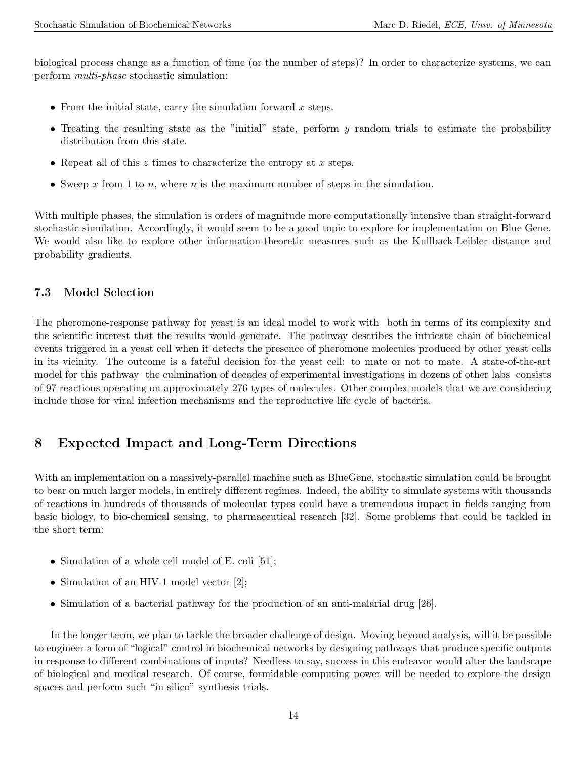biological process change as a function of time (or the number of steps)? In order to characterize systems, we can perform multi-phase stochastic simulation:

- From the initial state, carry the simulation forward  $x$  steps.
- Treating the resulting state as the "initial" state, perform  $\eta$  random trials to estimate the probability distribution from this state.
- Repeat all of this  $z$  times to characterize the entropy at  $x$  steps.
- Sweep x from 1 to n, where n is the maximum number of steps in the simulation.

With multiple phases, the simulation is orders of magnitude more computationally intensive than straight-forward stochastic simulation. Accordingly, it would seem to be a good topic to explore for implementation on Blue Gene. We would also like to explore other information-theoretic measures such as the Kullback-Leibler distance and probability gradients.

### 7.3 Model Selection

The pheromone-response pathway for yeast is an ideal model to work with both in terms of its complexity and the scientific interest that the results would generate. The pathway describes the intricate chain of biochemical events triggered in a yeast cell when it detects the presence of pheromone molecules produced by other yeast cells in its vicinity. The outcome is a fateful decision for the yeast cell: to mate or not to mate. A state-of-the-art model for this pathway the culmination of decades of experimental investigations in dozens of other labs consists of 97 reactions operating on approximately 276 types of molecules. Other complex models that we are considering include those for viral infection mechanisms and the reproductive life cycle of bacteria.

# 8 Expected Impact and Long-Term Directions

With an implementation on a massively-parallel machine such as BlueGene, stochastic simulation could be brought to bear on much larger models, in entirely different regimes. Indeed, the ability to simulate systems with thousands of reactions in hundreds of thousands of molecular types could have a tremendous impact in fields ranging from basic biology, to bio-chemical sensing, to pharmaceutical research [32]. Some problems that could be tackled in the short term:

- Simulation of a whole-cell model of E. coli [51];
- Simulation of an HIV-1 model vector [2];
- Simulation of a bacterial pathway for the production of an anti-malarial drug [26].

In the longer term, we plan to tackle the broader challenge of design. Moving beyond analysis, will it be possible to engineer a form of "logical" control in biochemical networks by designing pathways that produce specific outputs in response to different combinations of inputs? Needless to say, success in this endeavor would alter the landscape of biological and medical research. Of course, formidable computing power will be needed to explore the design spaces and perform such "in silico" synthesis trials.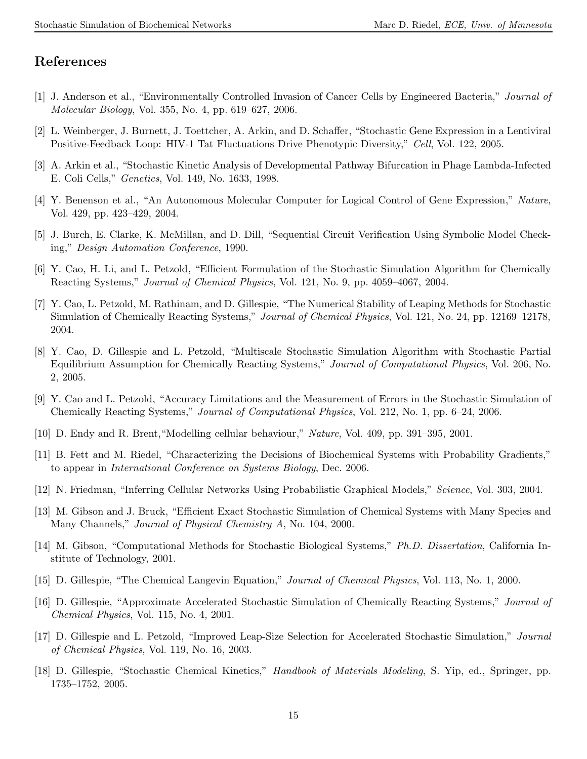# References

- [1] J. Anderson et al., "Environmentally Controlled Invasion of Cancer Cells by Engineered Bacteria," Journal of Molecular Biology, Vol. 355, No. 4, pp. 619–627, 2006.
- [2] L. Weinberger, J. Burnett, J. Toettcher, A. Arkin, and D. Schaffer, "Stochastic Gene Expression in a Lentiviral Positive-Feedback Loop: HIV-1 Tat Fluctuations Drive Phenotypic Diversity," Cell, Vol. 122, 2005.
- [3] A. Arkin et al., "Stochastic Kinetic Analysis of Developmental Pathway Bifurcation in Phage Lambda-Infected E. Coli Cells," Genetics, Vol. 149, No. 1633, 1998.
- [4] Y. Benenson et al., "An Autonomous Molecular Computer for Logical Control of Gene Expression," Nature, Vol. 429, pp. 423–429, 2004.
- [5] J. Burch, E. Clarke, K. McMillan, and D. Dill, "Sequential Circuit Verification Using Symbolic Model Checking," Design Automation Conference, 1990.
- [6] Y. Cao, H. Li, and L. Petzold, "Efficient Formulation of the Stochastic Simulation Algorithm for Chemically Reacting Systems," Journal of Chemical Physics, Vol. 121, No. 9, pp. 4059–4067, 2004.
- [7] Y. Cao, L. Petzold, M. Rathinam, and D. Gillespie, "The Numerical Stability of Leaping Methods for Stochastic Simulation of Chemically Reacting Systems," Journal of Chemical Physics, Vol. 121, No. 24, pp. 12169–12178, 2004.
- [8] Y. Cao, D. Gillespie and L. Petzold, "Multiscale Stochastic Simulation Algorithm with Stochastic Partial Equilibrium Assumption for Chemically Reacting Systems," Journal of Computational Physics, Vol. 206, No. 2, 2005.
- [9] Y. Cao and L. Petzold, "Accuracy Limitations and the Measurement of Errors in the Stochastic Simulation of Chemically Reacting Systems," Journal of Computational Physics, Vol. 212, No. 1, pp. 6–24, 2006.
- [10] D. Endy and R. Brent,"Modelling cellular behaviour," Nature, Vol. 409, pp. 391–395, 2001.
- [11] B. Fett and M. Riedel, "Characterizing the Decisions of Biochemical Systems with Probability Gradients," to appear in International Conference on Systems Biology, Dec. 2006.
- [12] N. Friedman, "Inferring Cellular Networks Using Probabilistic Graphical Models," Science, Vol. 303, 2004.
- [13] M. Gibson and J. Bruck, "Efficient Exact Stochastic Simulation of Chemical Systems with Many Species and Many Channels," Journal of Physical Chemistry A, No. 104, 2000.
- [14] M. Gibson, "Computational Methods for Stochastic Biological Systems," Ph.D. Dissertation, California Institute of Technology, 2001.
- [15] D. Gillespie, "The Chemical Langevin Equation," Journal of Chemical Physics, Vol. 113, No. 1, 2000.
- [16] D. Gillespie, "Approximate Accelerated Stochastic Simulation of Chemically Reacting Systems," Journal of Chemical Physics, Vol. 115, No. 4, 2001.
- [17] D. Gillespie and L. Petzold, "Improved Leap-Size Selection for Accelerated Stochastic Simulation," Journal of Chemical Physics, Vol. 119, No. 16, 2003.
- [18] D. Gillespie, "Stochastic Chemical Kinetics," Handbook of Materials Modeling, S. Yip, ed., Springer, pp. 1735–1752, 2005.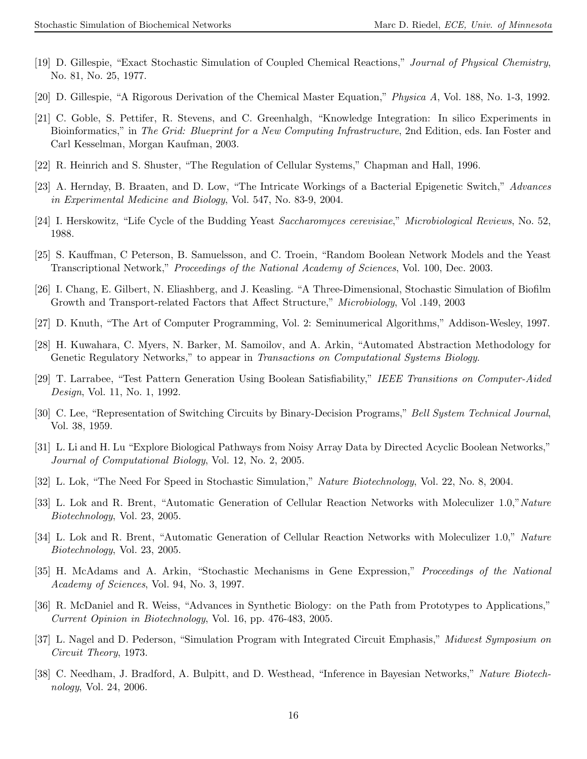- [19] D. Gillespie, "Exact Stochastic Simulation of Coupled Chemical Reactions," Journal of Physical Chemistry, No. 81, No. 25, 1977.
- [20] D. Gillespie, "A Rigorous Derivation of the Chemical Master Equation," Physica A, Vol. 188, No. 1-3, 1992.
- [21] C. Goble, S. Pettifer, R. Stevens, and C. Greenhalgh, "Knowledge Integration: In silico Experiments in Bioinformatics," in The Grid: Blueprint for a New Computing Infrastructure, 2nd Edition, eds. Ian Foster and Carl Kesselman, Morgan Kaufman, 2003.
- [22] R. Heinrich and S. Shuster, "The Regulation of Cellular Systems," Chapman and Hall, 1996.
- [23] A. Hernday, B. Braaten, and D. Low, "The Intricate Workings of a Bacterial Epigenetic Switch," Advances in Experimental Medicine and Biology, Vol. 547, No. 83-9, 2004.
- [24] I. Herskowitz, "Life Cycle of the Budding Yeast Saccharomyces cerevisiae," Microbiological Reviews, No. 52, 1988.
- [25] S. Kauffman, C Peterson, B. Samuelsson, and C. Troein, "Random Boolean Network Models and the Yeast Transcriptional Network," Proceedings of the National Academy of Sciences, Vol. 100, Dec. 2003.
- [26] I. Chang, E. Gilbert, N. Eliashberg, and J. Keasling. "A Three-Dimensional, Stochastic Simulation of Biofilm Growth and Transport-related Factors that Affect Structure," Microbiology, Vol .149, 2003
- [27] D. Knuth, "The Art of Computer Programming, Vol. 2: Seminumerical Algorithms," Addison-Wesley, 1997.
- [28] H. Kuwahara, C. Myers, N. Barker, M. Samoilov, and A. Arkin, "Automated Abstraction Methodology for Genetic Regulatory Networks," to appear in Transactions on Computational Systems Biology.
- [29] T. Larrabee, "Test Pattern Generation Using Boolean Satisfiability," IEEE Transitions on Computer-Aided Design, Vol. 11, No. 1, 1992.
- [30] C. Lee, "Representation of Switching Circuits by Binary-Decision Programs," Bell System Technical Journal, Vol. 38, 1959.
- [31] L. Li and H. Lu "Explore Biological Pathways from Noisy Array Data by Directed Acyclic Boolean Networks," Journal of Computational Biology, Vol. 12, No. 2, 2005.
- [32] L. Lok, "The Need For Speed in Stochastic Simulation," Nature Biotechnology, Vol. 22, No. 8, 2004.
- [33] L. Lok and R. Brent, "Automatic Generation of Cellular Reaction Networks with Moleculizer 1.0,"Nature Biotechnology, Vol. 23, 2005.
- [34] L. Lok and R. Brent, "Automatic Generation of Cellular Reaction Networks with Moleculizer 1.0," Nature Biotechnology, Vol. 23, 2005.
- [35] H. McAdams and A. Arkin, "Stochastic Mechanisms in Gene Expression," Proceedings of the National Academy of Sciences, Vol. 94, No. 3, 1997.
- [36] R. McDaniel and R. Weiss, "Advances in Synthetic Biology: on the Path from Prototypes to Applications," Current Opinion in Biotechnology, Vol. 16, pp. 476-483, 2005.
- [37] L. Nagel and D. Pederson, "Simulation Program with Integrated Circuit Emphasis," Midwest Symposium on Circuit Theory, 1973.
- [38] C. Needham, J. Bradford, A. Bulpitt, and D. Westhead, "Inference in Bayesian Networks," Nature Biotechnology, Vol. 24, 2006.